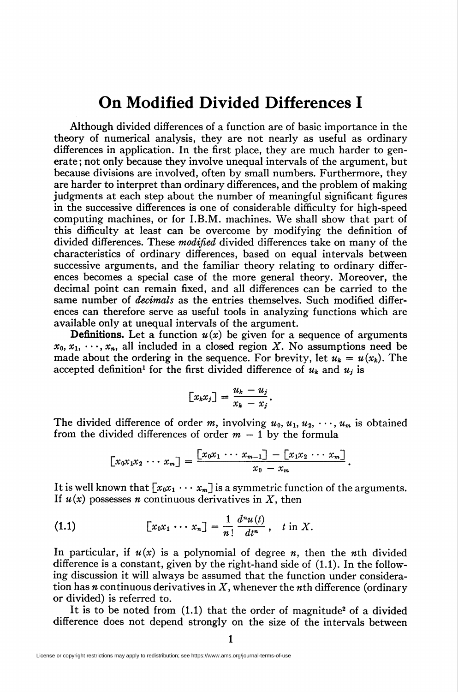## On Modified Divided Differences I

Although divided differences of a function are of basic importance in the theory of numerical analysis, they are not nearly as useful as ordinary differences in application. In the first place, they are much harder to generate ; not only because they involve unequal intervals of the argument, but because divisions are involved, often by small numbers. Furthermore, they are harder to interpret than ordinary differences, and the problem of making judgments at each step about the number of meaningful significant figures in the successive differences is one of considerable difficulty for high-speed computing machines, or for I.B.M. machines. We shall show that part of this difficulty at least can be overcome by modifying the definition of divided differences. These *modified* divided differences take on many of the characteristics of ordinary differences, based on equal intervals between successive arguments, and the familiar theory relating to ordinary differences becomes a special case of the more general theory. Moreover, the decimal point can remain fixed, and all differences can be carried to the same number of *decimals* as the entries themselves. Such modified differences can therefore serve as useful tools in analyzing functions which are available only at unequal intervals of the argument.

**Definitions.** Let a function  $u(x)$  be given for a sequence of arguments  $x_0, x_1, \dots, x_n$ , all included in a closed region X. No assumptions need be made about the ordering in the sequence. For brevity, let  $u_k = u(x_k)$ . The accepted definition<sup>1</sup> for the first divided difference of  $u_k$  and  $u_j$  is

$$
[x_k x_j] = \frac{u_k - u_j}{x_k - x_j}.
$$

The divided difference of order m, involving  $u_0, u_1, u_2, \dots, u_m$  is obtained from the divided differences of order  $m - 1$  by the formula

$$
[x_0x_1x_2\cdots x_m] = \frac{[x_0x_1\cdots x_{m-1}]-[x_1x_2\cdots x_m]}{x_0-x_m}
$$

It is well known that  $[x_0x_1 \cdots x_m]$  is a symmetric function of the arguments. If  $u(x)$  possesses *n* continuous derivatives in X, then

$$
\textbf{(1.1)} \qquad \qquad [\textit{x}_0 \textit{x}_1 \text{ } \cdots \text{ } \textit{x}_n] = \frac{1}{n!} \frac{d^n u(t)}{dt^n}, \quad t \text{ in } X.
$$

In particular, if  $u(x)$  is a polynomial of degree *n*, then the *n*th divided difference is a constant, given by the right-hand side of (1.1). In the following discussion it will always be assumed that the function under consideration has *n* continuous derivatives in  $X$ , whenever the *n*th difference (ordinary or divided) is referred to.

It is to be noted from  $(1.1)$  that the order of magnitude<sup>2</sup> of a divided difference does not depend strongly on the size of the intervals between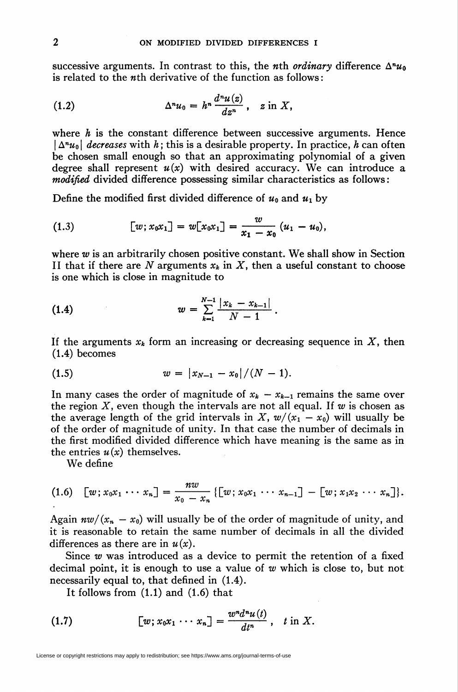successive arguments. In contrast to this, the *n*th *ordinary* difference  $\Delta^n u_0$ is related to the wth derivative of the function as follows :

(1.2) 
$$
\Delta^n u_0 = h^n \frac{d^n u(z)}{dz^n}, \quad z \text{ in } X,
$$

where  $h$  is the constant difference between successive arguments. Hence  $|\Delta^n u_0|$  decreases with h; this is a desirable property. In practice, h can often be chosen small enough so that an approximating polynomial of a given degree shall represent  $u(x)$  with desired accuracy. We can introduce a modified divided difference possessing similar characteristics as follows:

Define the modified first divided difference of  $u_0$  and  $u_1$  by

(1.3) 
$$
[w; x_0 x_1] = w[x_0 x_1] = \frac{w}{x_1 - x_0} (u_1 - u_0),
$$

where w is an arbitrarily chosen positive constant. We shall show in Section II that if there are N arguments  $x_k$  in X, then a useful constant to choose is one which is close in magnitude to

(1.4) 
$$
w = \sum_{k=1}^{N-1} \frac{|x_k - x_{k-1}|}{N-1}.
$$

If the arguments  $x_k$  form an increasing or decreasing sequence in X, then (1.4) becomes

$$
(1.5) \t\t\t w = |x_{N-1} - x_0|/(N-1).
$$

In many cases the order of magnitude of  $x_k - x_{k-1}$  remains the same over the region X, even though the intervals are not all equal. If w is chosen as the average length of the grid intervals in X,  $w/(x_1 - x_0)$  will usually be of the order of magnitude of unity. In that case the number of decimals in the first modified divided difference which have meaning is the same as in the entries  $u(x)$  themselves.

We define

$$
(1.6) \quad [w \,; x_0 x_1 \, \cdots \, x_n] = \frac{nw}{x_0 - x_n} \left\{ [w \,; x_0 x_1 \, \cdots \, x_{n-1}] \, - \, [w \,; x_1 x_2 \, \cdots \, x_n] \right\}.
$$

Again  $nw/(x_n - x_0)$  will usually be of the order of magnitude of unity, and it is reasonable to retain the same number of decimals in all the divided differences as there are in  $u(x)$ .

Since  $w$  was introduced as a device to permit the retention of a fixed decimal point, it is enough to use a value of  $w$  which is close to, but not necessarily equal to, that defined in (1.4).

 $\ddot{\phantom{a}}$ 

It follows from (1.1) and (1.6) that

(1.7) 
$$
[w; x_0x_1 \cdots x_n] = \frac{w^n d^n u(t)}{dt^n}, \quad t \text{ in } X.
$$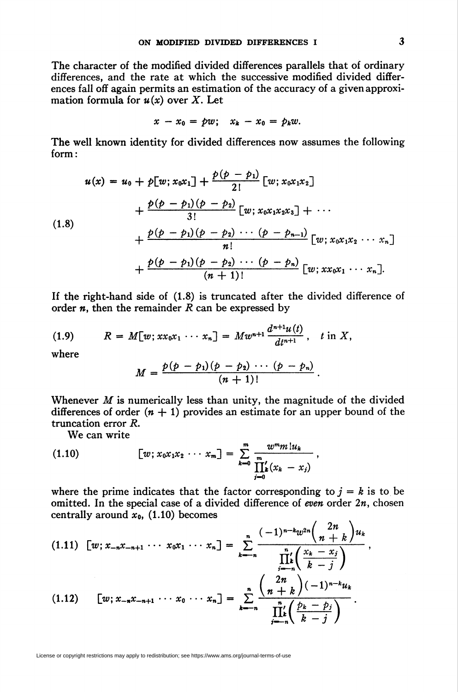The character of the modified divided differences parallels that of ordinary differences, and the rate at which the successive modified divided differences fall off again permits an estimation of the accuracy of a given approximation formula for  $u(x)$  over X. Let

$$
x-x_0= pw; \quad x_k-x_0= p_k w.
$$

The well known identity for divided differences now assumes the following form:

(1.8)  

$$
u(x) = u_0 + p[w; x_0x_1] + \frac{p(p-p_1)}{2!} [w; x_0x_1x_2] + \frac{p(p-p_1)(p-p_2)}{3!} [w; x_0x_1x_2x_3] + \cdots + \frac{p(p-p_1)(p-p_2)\cdots (p-p_{n-1})}{n!} [w; x_0x_1x_2\cdots x_n] + \frac{p(p-p_1)(p-p_2)\cdots (p-p_n)}{(n+1)!} [w; xx_0x_1\cdots x_n].
$$

If the right-hand side of (1.8) is truncated after the divided difference of order  $n$ , then the remainder  $R$  can be expressed by

(1.9) 
$$
R = M[w; xx_0x_1 \cdots x_n] = Mw^{n+1} \frac{d^{n+1}u(t)}{dt^{n+1}}, \quad t \text{ in } X,
$$

where

$$
M=\frac{p(p-p_1)(p-p_2)\cdots (p-p_n)}{(n+1)!}
$$

Whenever  $M$  is numerically less than unity, the magnitude of the divided differences of order  $(n + 1)$  provides an estimate for an upper bound of the truncation error R.

We can write

(1.10) 
$$
[w; x_0 x_1 x_2 \cdots x_m] = \sum_{k=0}^{m} \frac{w^m m! u_k}{\prod_{j=0}^{m} (x_k - x_j)}
$$

where the prime indicates that the factor corresponding to  $j = k$  is to be omitted. In the special case of a divided difference of even order  $2n$ , chosen centrally around  $x_0$ , (1.10) becomes  $\mathcal{L}$   $\alpha$   $\beta$ 

$$
(1.11) \quad [w; x_{-n}x_{-n+1} \cdots x_0x_1 \cdots x_n] = \sum_{k=-n}^{n} \frac{(-1)^{n-k}w^{2n} \binom{2n}{n+k}u_k}{\prod_{j=n}^{n} \binom{x_k-x_j}{k-j}},
$$
\n
$$
(1.12) \quad [w; x_{-n}x_{-n+1} \cdots x_0 \cdots x_n] = \sum_{k=-n}^{n} \frac{\binom{2n}{n+k}(-1)^{n-k}u_k}{\prod_{j=n}^{n} \binom{p_k-p_j}{k-j}}.
$$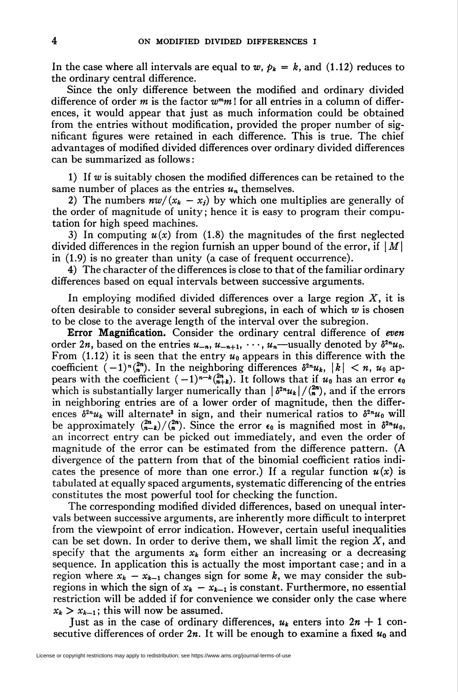In the case where all intervals are equal to  $w, \, p_k = k$ , and (1.12) reduces to the ordinary central difference.

Since the only difference between the modified and ordinary divided difference of order m is the factor  $w<sup>m</sup>m$ ! for all entries in a column of differences, it would appear that just as much information could be obtained from the entries without modification, provided the proper number of significant figures were retained in each difference. This is true. The chief advantages of modified divided differences over ordinary divided differences can be summarized as follows :

1) If  $w$  is suitably chosen the modified differences can be retained to the same number of places as the entries  $u_n$  themselves.

2) The numbers  $nw/(x_k - x_j)$  by which one multiplies are generally of the order of magnitude of unity ; hence it is easy to program their computation for high speed machines.

3) In computing  $u(x)$  from (1.8) the magnitudes of the first neglected divided differences in the region furnish an upper bound of the error, if  $|M|$ in (1.9) is no greater than unity (a case of frequent occurrence).

4) The character of the differences is close to that of the familiar ordinary differences based on equal intervals between successive arguments.

In employing modified divided differences over a large region  $X$ , it is often desirable to consider several subregions, in each of which  $w$  is chosen to be close to the average length of the interval over the subregion.

Error Magnification. Consider the ordinary central difference of even order 2n, based on the entries  $u_{-n}$ ,  $u_{-n+1}$ ,  $\cdots$ ,  $u_n$ —usually denoted by  $\delta^{2n}u_0$ . From (1.12) it is seen that the entry  $u_0$  appears in this difference with the coefficient  $(-1)^{n} \binom{2n}{n}$ . In the neighboring differences  $\delta^{2n} u_k$ ,  $|k| < n$ ,  $u_0$  appears with the coefficient  $(-1)^{n-k}\binom{2n}{n+k}$ . It follows that if  $u_0$  has an error  $\epsilon_0$ which is substantially larger numerically than  $\left|\frac{\delta^{2n}u_k}{\sigma}\right|/\binom{2n}{n}$ , and if the errors in neighboring entries are of a lower order of magnitude, then the differences  $\delta^{2n}u_k$  will alternate<sup>3</sup> in sign, and their numerical ratios to  $\delta^{2n}u_0$  will be approximately  $\binom{2n}{n-k}/\binom{2n}{n}$ . Since the error  $\epsilon_0$  is magnified most in  $\delta^{2n}u_0$ , an incorrect entry can be picked out immediately, and even the order of magnitude of the error can be estimated from the difference pattern. (A divergence of the pattern from that of the binomial coefficient ratios indicates the presence of more than one error.) If a regular function  $u(x)$  is tabulated at equally spaced arguments, systematic differencing of the entries constitutes the most powerful tool for checking the function.

The corresponding modified divided differences, based on unequal intervals between successive arguments, are inherently more difficult to interpret from the viewpoint of error indication. However, certain useful inequalities can be set down. In order to derive them, we shall limit the region  $X$ , and specify that the arguments  $x_k$  form either an increasing or a decreasing sequence. In application this is actually the most important case ; and in a region where  $x_k - x_{k-1}$  changes sign for some k, we may consider the subregions in which the sign of  $x_k - x_{k-1}$  is constant. Furthermore, no essential restriction will be added if for convenience we consider only the case where  $x_k > x_{k-1}$ ; this will now be assumed.

Just as in the case of ordinary differences,  $u_k$  enters into  $2n + 1$  consecutive differences of order  $2n$ . It will be enough to examine a fixed  $u_0$  and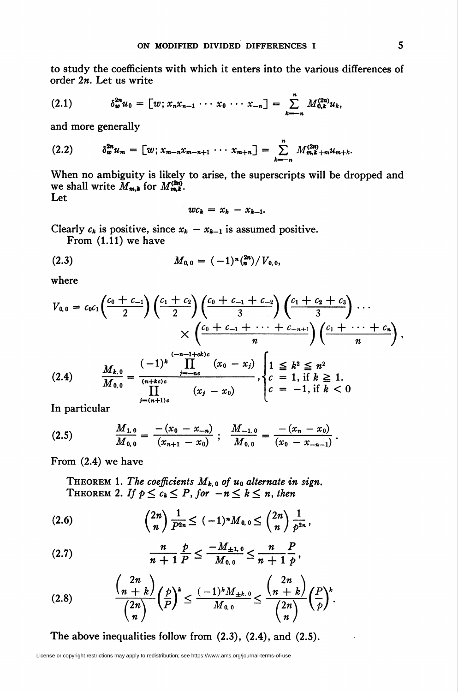to study the coefficients with which it enters into the various differences of order  $2n$ . Let us write

$$
(2.1) \t\t\t \delta_w^{2n} u_0 = [w; x_n x_{n-1} \cdots x_0 \cdots x_{-n}] = \sum_{k=-n}^n M_{0,k}^{(2n)} u_k,
$$

and more generally

$$
(2.2) \t\t \delta_w^{2n} u_m = [w; x_{m-n}x_{m-n+1} \cdots x_{m+n}] = \sum_{k=-n}^n M_{m,k+m}^{(2n)} u_{m+k}.
$$

When no ambiguity is likely to arise, the superscripts will be dropped and we shall write  $M_{m,k}$  for  $M^{(2n)}_{m,k}$ . Let

$$
wc_k = x_k - x_{k-1}
$$

Clearly  $c_k$  is positive, since  $x_k - x_{k-1}$  is assumed positive.

From (1.11) we have

$$
(2.3) \t\t\t M_{0,0} = (-1)^n \binom{2n}{n} / V_{0,0},
$$

where

$$
V_{0,0} = c_0 c_1 \left(\frac{c_0 + c_{-1}}{2}\right) \left(\frac{c_1 + c_2}{2}\right) \left(\frac{c_0 + c_{-1} + c_{-2}}{3}\right) \left(\frac{c_1 + c_2 + c_3}{3}\right) \cdots \\
\times \left(\frac{c_0 + c_{-1} + \cdots + c_{-n+1}}{n}\right) \left(\frac{c_1 + \cdots + c_n}{n}\right) \\
\left(\frac{c_1 + \cdots + c_n}{n}\right) \left(\frac{c_1 + \cdots + c_n}{n}\right) \\
\frac{M_{k,0}}{M_{0,0}} = \frac{(-1)^k}{\prod_{i=1}^{(n+kc)c} (x_0 - x_i)} \prod_{i=1}^{n} \left(\frac{x_0 - x_i}{x_0 - x_0}\right) \left(\frac{1}{c} = 1, \text{ if } k \geq 1. \\
\left(\frac{x_0 - x_0}{x_0 - x_0}\right) \left(\frac{x_0 - x_0}{x_0 - x_0}\right) \left(\frac{x_0 - x_0}{x_0 - x_0}\right) \right) \left(\frac{x_0 - x_0}{x_0 - x_0}\right) \left(\frac{x_0 - x_0}{x_0 - x_0}\right) \left(\frac{x_0 - x_0}{x_0 - x_0}\right) \left(\frac{x_0 - x_0}{x_0 - x_0}\right)
$$

$$
\prod_{j=(n+1)c}^{M(0,0)}(x_j-x_0)
$$

In particular

$$
(2.5) \qquad \frac{M_{1,0}}{M_{0,0}} = \frac{-(x_0-x_{-n})}{(x_{n+1}-x_0)} \; ; \; \frac{M_{-1,0}}{M_{0,0}} = \frac{-(x_n-x_0)}{(x_0-x_{-n-1})} \; .
$$

From (2.4) we have

THEOREM 1. The coefficients  $M_{k,0}$  of  $u_0$  alternate in sign. THEOREM 2. If  $p \leq c_k \leq P$ , for  $-n \leq k \leq n$ , then

$$
(2.6) \qquad \qquad \binom{2n}{n} \frac{1}{P^{2n}} \leq (-1)^n M_{0,0} \leq \binom{2n}{n} \frac{1}{P^{2n}},
$$

(2.7) 
$$
\frac{n}{n+1} \frac{p}{P} \le \frac{-M_{\pm 1,0}}{M_{0,0}} \le \frac{n}{n+1} \frac{p}{p},
$$

$$
(2.8) \qquad \frac{{\binom{2n}{n+k}}}{\binom{2n}{n}} \left(\frac{p}{P}\right)^k \leq \frac{(-1)^k M_{\pm k, 0}}{M_{0,0}} \leq \frac{{\binom{2n}{n+k}}}{\binom{2n}{n}} \left(\frac{P}{p}\right)^k.
$$

The above inequalities follow from  $(2.3)$ ,  $(2.4)$ , and  $(2.5)$ .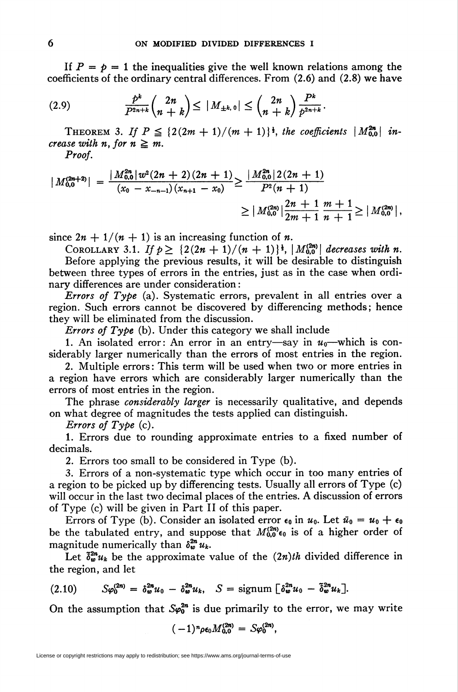If  $P = p = 1$  the inequalities give the well known relations among the coefficients of the ordinary central differences. From (2.6) and (2.8) we have

(») ^(¿r\*)£'iM~'^i+\*>£\*•

THEOREM 3. If  $P \leq \{2(2m + 1)/(m + 1)\}\n^{\frac{1}{2}}$ , the coefficients  $|M_{0.0}^{2n}|$  increase with n. for  $n \geq m$ .

Proof.

$$
|M_{0,0}^{(2n+2)}| = \frac{|M_{0,0}^{2n}|w^2(2n+2)(2n+1)}{(x_0 - x_{-n-1})(x_{n+1} - x_0)} \ge \frac{|M_{0,0}^{2n}|2(2n+1)}{P^2(n+1)} \ge |M_{0,0}^{(2n)}|\frac{2n+1}{2m+1} \frac{m+1}{n+1} \ge |M_{0,0}^{(2n)}|,
$$

since  $2n + 1/(n + 1)$  is an increasing function of n.

COROLLARY 3.1. If  $p \geq \{2(2n + 1)/(n + 1)\}^{\frac{1}{2}}$ ,  $|M_{0,0}^{(2n)}|$  decreases with n. Before applying the previous results, it will be desirable to distinguish between three types of errors in the entries, just as in the case when ordinary differences are under consideration :

*Errors of Type* (a). Systematic errors, prevalent in all entries over a region. Such errors cannot be discovered by differencing methods; hence they will be eliminated from the discussion.

*Errors of Type* (b). Under this category we shall include

1. An isolated error: An error in an entry—say in  $u_0$ —which is considerably larger numerically than the errors of most entries in the region.

2. Multiple errors: This term will be used when two or more entries in a region have errors which are considerably larger numerically than the errors of most entries in the region.

The phrase *considerably larger* is necessarily qualitative, and depends on what degree of magnitudes the tests applied can distinguish.

Errors of Type (c).

1. Errors due to rounding approximate entries to a fixed number of decimals.

2. Errors too small to be considered in Type (b).

3. Errors of a non-systematic type which occur in too many entries of a region to be picked up by differencing tests. Usually all errors of Type (c) will occur in the last two decimal places of the entries. A discussion of errors of Type (c) will be given in Part II of this paper.

Errors of Type (b). Consider an isolated error  $\epsilon_0$  in  $u_0$ . Let  $\bar{u}_0 = u_0 + \epsilon_0$ be the tabulated entry, and suppose that  $M_{0,0}^{(2n)}\epsilon_0$  is of a higher order of magnitude numerically than  $\delta_{\nu}^{2n} u_k$ .

Let  $\delta_{w}^{2n}u_{k}$  be the approximate value of the  $(2n)th$  divided difference in the region, and let

$$
(2.10) \tS\varphi_0^{(2n)} = \delta_w^{2n} u_0 - \delta_w^{2n} u_k, \tS = \text{signum} \left[ \delta_w^{2n} u_0 - \tilde{\delta}_w^{2n} u_k \right].
$$

On the assumption that  $\mathcal{S}\varphi_0^{2n}$  is due primarily to the error, we may write

$$
(-1)^n \rho \epsilon_0 M_{0,0}^{(2n)} = S \varphi_0^{(2n)},
$$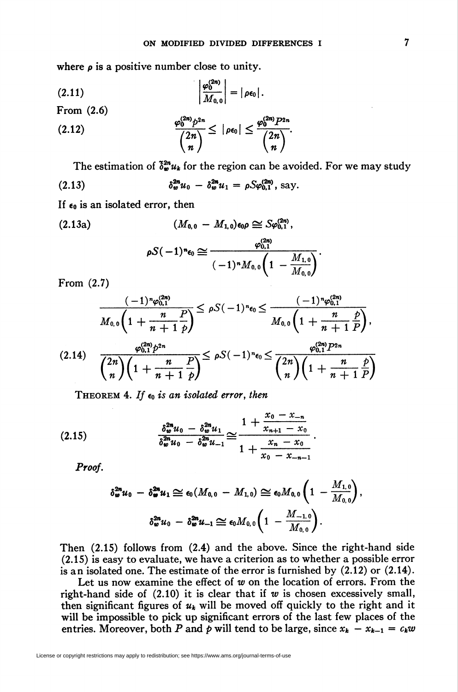where  $\rho$  is a positive number close to unity.

$$
(2.11)
$$
\n
$$
\left|\frac{\varphi_0^{(2n)}}{M_{0,0}}\right| = |\rho \epsilon_0|.
$$
\nFrom (2.6)\n
$$
\frac{\varphi_0^{(2n)} p^{2n}}{\binom{2n}{n}} \leq |\rho \epsilon_0| \leq \frac{\varphi_0^{(2n)} p^{2n}}{\binom{2n}{n}}
$$

The estimation of  $\delta_w^{2n} u_k$  for the region can be avoided. For we may study

(2.13) 
$$
\delta_w^{2n} u_0 - \delta_w^{2n} u_1 = \rho S \varphi_{0,1}^{(2n)}, \text{say}.
$$

If  $\epsilon_0$  is an isolated error, then

$$
(2.13a) \qquad (M_{0,0} - M_{1,0})\epsilon_0 \rho \cong Sp_{0,1}^{(2n)},
$$
\n
$$
\rho S(-1)^n \epsilon_0 \cong \frac{\varphi_{0,1}^{(2n)}}{(-1)^n M_{0,0} \left(1 - \frac{M_{1,0}}{M_{0,0}}\right)}.
$$

From (2.7)

$$
\frac{(-1)^n \varphi_{0,1}^{(2n)}}{M_{0,0}\left(1+\frac{n}{n+1}\frac{P}{p}\right)} \leq \rho S(-1)^n \epsilon_0 \leq \frac{(-1)^n \varphi_{0,1}^{(2n)}}{M_{0,0}\left(1+\frac{n}{n+1}\frac{P}{P}\right)},
$$
\n
$$
(2.14) \quad \frac{\varphi_{0,1}^{(2n)}p^{2n}}{\binom{2n}{n}\left(1+\frac{n}{n+1}\frac{P}{p}\right)} \leq \rho S(-1)^n \epsilon_0 \leq \frac{\varphi_{0,1}^{(2n)}p^{2n}}{\binom{2n}{n}\left(1+\frac{n}{n+1}\frac{P}{P}\right)}
$$

THEOREM 4. If  $\epsilon_0$  is an isolated error, then

$$
(2.15) \qquad \qquad \frac{\delta_w^{2n} u_0 - \delta_w^{2n} u_1}{\delta_w^{2n} u_0 - \delta_w^{2n} u_{-1}} \cong \frac{1 + \frac{x_0 - x_{-n}}{x_{n+1} - x_0}}{1 + \frac{x_n - x_0}{x_0 - x_{-n-1}}}
$$

Proof.

$$
\delta_{\bm{w}}^{2n} u_0 - \delta_{\bm{w}}^{2n} u_1 \cong \epsilon_0(M_{0,0} - M_{1,0}) \cong \epsilon_0 M_{0,0} \left(1 - \frac{M_{1,0}}{M_{0,0}}\right),
$$

$$
\delta_{\bm{w}}^{2n} u_0 - \delta_{\bm{w}}^{2n} u_{-1} \cong \epsilon_0 M_{0,0} \left(1 - \frac{M_{-1,0}}{M_{0,0}}\right).
$$

Then (2.15) follows from (2.4) and the above. Since the right-hand side (2.15) is easy to evaluate, we have a criterion as to whether a possible error is an isolated one. The estimate of the error is furnished by (2.12) or (2.14).

Let us now examine the effect of  $w$  on the location of errors. From the right-hand side of  $(2.10)$  it is clear that if w is chosen excessively small, then significant figures of  $u_k$  will be moved off quickly to the right and it will be impossible to pick up significant errors of the last few places of the entries. Moreover, both P and p will tend to be large, since  $x_k - x_{k-1} = c_k w$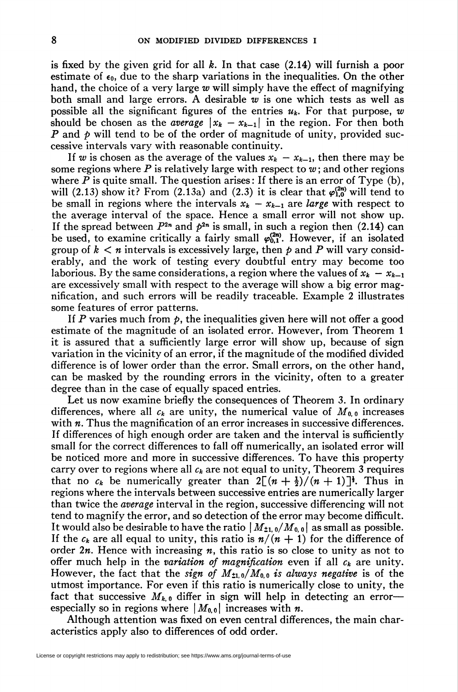is fixed by the given grid for all  $k$ . In that case  $(2.14)$  will furnish a poor estimate of  $\epsilon_0$ , due to the sharp variations in the inequalities. On the other hand, the choice of a very large  $w$  will simply have the effect of magnifying both small and large errors. A desirable  $w$  is one which tests as well as possible all the significant figures of the entries  $u_k$ . For that purpose, w should be chosen as the *average*  $\vert x_k - x_{k-1}\vert$  in the region. For then both P and p will tend to be of the order of magnitude of unity, provided successive intervals vary with reasonable continuity.

If w is chosen as the average of the values  $x_k - x_{k-1}$ , then there may be some regions where P is relatively large with respect to  $w$ ; and other regions where  $P$  is quite small. The question arises: If there is an error of Type (b), will (2.13) show it? From (2.13a) and (2.3) it is clear that  $\varphi_{1,0}^{(2n)}$  will tend to be small in regions where the intervals  $x_k - x_{k-1}$  are *large* with respect to the average interval of the space. Hence a small error will not show up. If the spread between  $P^{2n}$  and  $p^{2n}$  is small, in such a region then (2.14) can be used, to examine critically a fairly small  $\varphi_{0,1}^{(2n)}$ . However, if an isolated group of  $k < n$  intervals is excessively large, then p and P will vary considerably, and the work of testing every doubtful entry may become too laborious. By the same considerations, a region where the values of  $x_k - x_{k-1}$ are excessively small with respect to the average will show a big error magnification, and such errors will be readily traceable. Example 2 illustrates some features of error patterns.

If P varies much from  $\phi$ , the inequalities given here will not offer a good estimate of the magnitude of an isolated error. However, from Theorem 1 it is assured that a sufficiently large error will show up, because of sign variation in the vicinity of an error, if the magnitude of the modified divided difference is of lower order than the error. Small errors, on the other hand, can be masked by the rounding errors in the vicinity, often to a greater degree than in the case of equally spaced entries.

Let us now examine briefly the consequences of Theorem 3. In ordinary differences, where all  $c_k$  are unity, the numerical value of  $M_{0,0}$  increases with  $n$ . Thus the magnification of an error increases in successive differences. If differences of high enough order are taken and the interval is sufficiently small for the correct differences to fall off numerically, an isolated error will be noticed more and more in successive differences. To have this property carry over to regions where all  $c_k$  are not equal to unity, Theorem 3 requires that no  $c_k$  be numerically greater than  $2\lceil (n + \frac{1}{2})/(n + 1) \rceil$ <sup>t</sup>. Thus in regions where the intervals between successive entries are numerically larger than twice the average interval in the region, successive differencing will not tend to magnify the error, and so detection of the error may become difficult. It would also be desirable to have the ratio  $|M_{\pm 1,0}/M_{0,0}|$  as small as possible. If the  $c_k$  are all equal to unity, this ratio is  $n/(n + 1)$  for the difference of order  $2n$ . Hence with increasing n, this ratio is so close to unity as not to offer much help in the variation of magnification even if all  $c_k$  are unity. However, the fact that the sign of  $M_{\pm 1,0}/M_{0,0}$  is always negative is of the utmost importance. For even if this ratio is numerically close to unity, the fact that successive  $M_{k,0}$  differ in sign will help in detecting an error especially so in regions where  $|M_{0,0}|$  increases with *n*.

Although attention was fixed on even central differences, the main characteristics apply also to differences of odd order.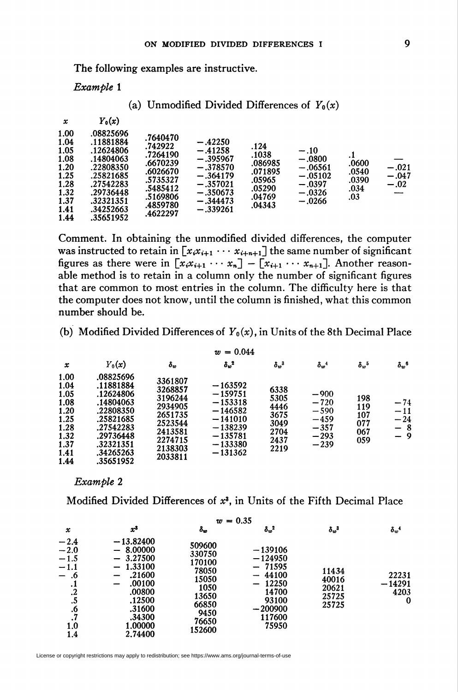The following examples are instructive.

Example 1

(a) Unmodified Divided Differences of  $Y_0(x)$ 

| x                                                                                    | $Y_0(x)$                                                                                                                                    |                                                                                                                     |                                                                                                                          |                                                                             |                                                                                  |                                              |                              |
|--------------------------------------------------------------------------------------|---------------------------------------------------------------------------------------------------------------------------------------------|---------------------------------------------------------------------------------------------------------------------|--------------------------------------------------------------------------------------------------------------------------|-----------------------------------------------------------------------------|----------------------------------------------------------------------------------|----------------------------------------------|------------------------------|
| 1.00<br>1.04<br>1.05<br>1.08<br>1.20<br>1.25<br>1.28<br>1.32<br>1.37<br>1.41<br>1.44 | .08825696<br>.11881884<br>.12624806<br>.14804063<br>.22808350<br>.25821685<br>.27542283<br>.29736448<br>.32321351<br>.34252663<br>.35651952 | .7640470<br>.742922<br>.7264190<br>.6670239<br>.6026670<br>.5735327<br>.5485412<br>.5169806<br>.4859780<br>.4622297 | $-.42250$<br>$-.41258$<br>$-.395967$<br>$-.378570$<br>$-.364179$<br>$-.357021$<br>$-.350673$<br>$-.344473$<br>$-.339261$ | .124<br>.1038<br>.086985<br>.071895<br>.05965<br>.05290<br>.04769<br>.04343 | $-.10$<br>$-.0800$<br>$-.06561$<br>$-.05102$<br>$-.0397$<br>$-.0326$<br>$-.0266$ | .1<br>.0600<br>.0540<br>.0390<br>.034<br>.03 | $-.021$<br>$-.047$<br>$-.02$ |

Comment. In obtaining the unmodified divided differences, the computer was instructed to retain in  $[x_i x_{i+1} \cdots x_{i+n+1}]$  the same number of significant figures as there were in  $\begin{bmatrix} x_i x_{i+1} & \cdots & x_n \end{bmatrix} - \begin{bmatrix} x_{i+1} & \cdots & x_{n+1} \end{bmatrix}$ . Another reasonable method is to retain in a column only the number of significant figures that are common to most entries in the column. The difficulty here is that the computer does not know, until the column is finished, what this common number should be.

(b) Modified Divided Differences of  $Y_0(x)$ , in Units of the 8th Decimal Place

| $w = 0.044$                                                                          |                                                                                                                                             |                                                                                                            |                                                                                                                   |                                                              |                                                                    |                                        |                                            |
|--------------------------------------------------------------------------------------|---------------------------------------------------------------------------------------------------------------------------------------------|------------------------------------------------------------------------------------------------------------|-------------------------------------------------------------------------------------------------------------------|--------------------------------------------------------------|--------------------------------------------------------------------|----------------------------------------|--------------------------------------------|
| x                                                                                    | $Y_0(x)$                                                                                                                                    | $\boldsymbol{\delta_w}$                                                                                    | $\delta_w^2$                                                                                                      | $\delta_{1p}^3$                                              | $\delta_w^4$                                                       | $\delta_{w}{}^{5}$                     | $\delta_w^6$                               |
| 1.00<br>1.04<br>1.05<br>1.08<br>1.20<br>1.25<br>1.28<br>1.32<br>1.37<br>1.41<br>1.44 | .08825696<br>.11881884<br>.12624806<br>.14804063<br>.22808350<br>.25821685<br>.27542283<br>.29736448<br>.32321351<br>.34265263<br>.35651952 | 3361807<br>3268857<br>3196244<br>2934905<br>2651735<br>2523544<br>2413581<br>2274715<br>2138303<br>2033811 | $-163592$<br>$-159751$<br>$-153318$<br>$-146582$<br>$-141010$<br>$-138239$<br>$-135781$<br>$-133380$<br>$-131362$ | 6338<br>5305<br>4446<br>3675<br>3049<br>2704<br>2437<br>2219 | $-900$<br>$-720$<br>$-590$<br>$-459$<br>$-357$<br>$-293$<br>$-239$ | 198<br>119<br>107<br>077<br>067<br>059 | $\frac{-74}{-11}$<br>$-24$<br>$-8$<br>$-9$ |

Example 2

Modified Divided Differences of  $x<sup>3</sup>$ , in Units of the Fifth Decimal Place

| $w = 0.35$                                                                                                        |                                                                                                                                                                                              |                                                                                                   |                                                                                                               |                                           |                                       |
|-------------------------------------------------------------------------------------------------------------------|----------------------------------------------------------------------------------------------------------------------------------------------------------------------------------------------|---------------------------------------------------------------------------------------------------|---------------------------------------------------------------------------------------------------------------|-------------------------------------------|---------------------------------------|
| $\pmb{\mathcal{X}}$                                                                                               | $x^3$                                                                                                                                                                                        | $\delta_w$                                                                                        | $\delta_w^2$                                                                                                  | $\delta_w{}^3$                            | $\delta_w^4$                          |
| $-2.4$<br>$-2.0$<br>$-1.5$<br>$-1.1$<br>.6<br>$-$<br>$\cdot$<br>$\cdot$<br>.5<br>$\cdot$<br>$\cdot$<br>1.0<br>1.4 | $-13.82400$<br>$-8.00000$<br>$-3.27500$<br>1.33100<br>$\overline{\phantom{0}}$<br>.21600<br>.00100<br>$\overline{\phantom{0}}$<br>.00800<br>.12500<br>.31600<br>.34300<br>1.00000<br>2.74400 | 509600<br>330750<br>170100<br>78050<br>15050<br>1050<br>13650<br>66850<br>9450<br>76650<br>152600 | $-139106$<br>$-124950$<br>$-71595$<br>44100<br>12250<br>$-$<br>14700<br>93100<br>$-200900$<br>117600<br>75950 | 11434<br>40016<br>20621<br>25725<br>25725 | 22231<br>$-14291$<br>4203<br>$\bf{0}$ |

License or copyright restrictions may apply to redistribution; see https://www.ams.org/journal-terms-of-use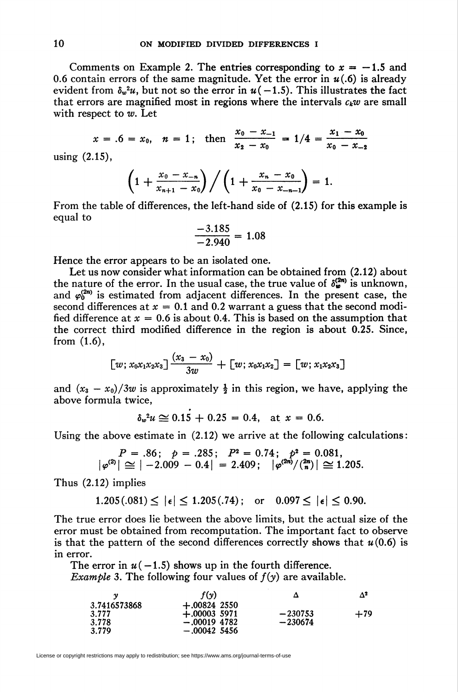Comments on Example 2. The entries corresponding to  $x = -1.5$  and 0.6 contain errors of the same magnitude. Yet the error in  $u(0.6)$  is already evident from  $\delta_{\nu}^2 u$ , but not so the error in  $u(-1.5)$ . This illustrates the fact that errors are magnified most in regions where the intervals  $c_kw$  are small with respect to  $w$ . Let

$$
x = .6 = x_0
$$
,  $n = 1$ ; then  $\frac{x_0 - x_{-1}}{x_2 - x_0} = 1/4 = \frac{x_1 - x_0}{x_0 - x_{-2}}$ 

using (2.15),

$$
\left(1+\frac{x_0-x_{-n}}{x_{n+1}-x_0}\right)\bigg/\left(1+\frac{x_n-x_0}{x_0-x_{-n-1}}\right)=1.
$$

From the table of differences, the left-hand side of (2.15) for this example is equal to

$$
\frac{-3.185}{-2.940} = 1.08
$$

Hence the error appears to be an isolated one.

Let us now consider what information can be obtained from (2.12) about the nature of the error. In the usual case, the true value of  $\delta_{\omega}^{(2n)}$  is unknown, and  $\varphi_0^{(2n)}$  is estimated from adjacent differences. In the present case, the second differences at  $x = 0.1$  and 0.2 warrant a guess that the second modified difference at  $x = 0.6$  is about 0.4. This is based on the assumption that the correct third modified difference in the region is about 0.25. Since, from (1.6),

$$
\begin{bmatrix} w; x_0x_1x_2x_3 \end{bmatrix} \frac{(x_3-x_0)}{3w} + \begin{bmatrix} w; x_0x_1x_2 \end{bmatrix} = \begin{bmatrix} w; x_1x_2x_3 \end{bmatrix}
$$

and  $(x_3 - x_0)/3w$  is approximately  $\frac{1}{2}$  in this region, we have, applying the above formula twice,

$$
\delta_w^2 u \simeq 0.15 + 0.25 = 0.4, \text{ at } x = 0.6.
$$

Using the above estimate in (2.12) we arrive at the following calculations:

$$
P = .86
$$
;  $p = .285$ ;  $P^2 = 0.74$ ;  $p^2 = 0.081$ ,  
 $|\varphi^{(2)}| \approx |-2.009 - 0.4| = 2.409$ ;  $|\varphi^{(2n)}/\binom{2n}{n}| \approx 1.205$ .

Thus (2.12) implies

$$
1.205(.081) \le |\epsilon| \le 1.205(.74);
$$
 or  $0.097 \le |\epsilon| \le 0.90.$ 

The true error does lie between the above limits, but the actual size of the error must be obtained from recomputation. The important fact to observe is that the pattern of the second differences correctly shows that  $u(0.6)$  is in error.

The error in  $u(-1.5)$  shows up in the fourth difference. *Example* 3. The following four values of  $f(y)$  are available.

|              | f(v)           | Δ         | Δª    |
|--------------|----------------|-----------|-------|
| 3.7416573868 | $+.00824$ 2550 |           |       |
| 3.777        | $+.000035971$  | $-230753$ | $+79$ |
| 3.778        | $-.00019$ 4782 | $-230674$ |       |
| 3.779        | $-.00042$ 5456 |           |       |